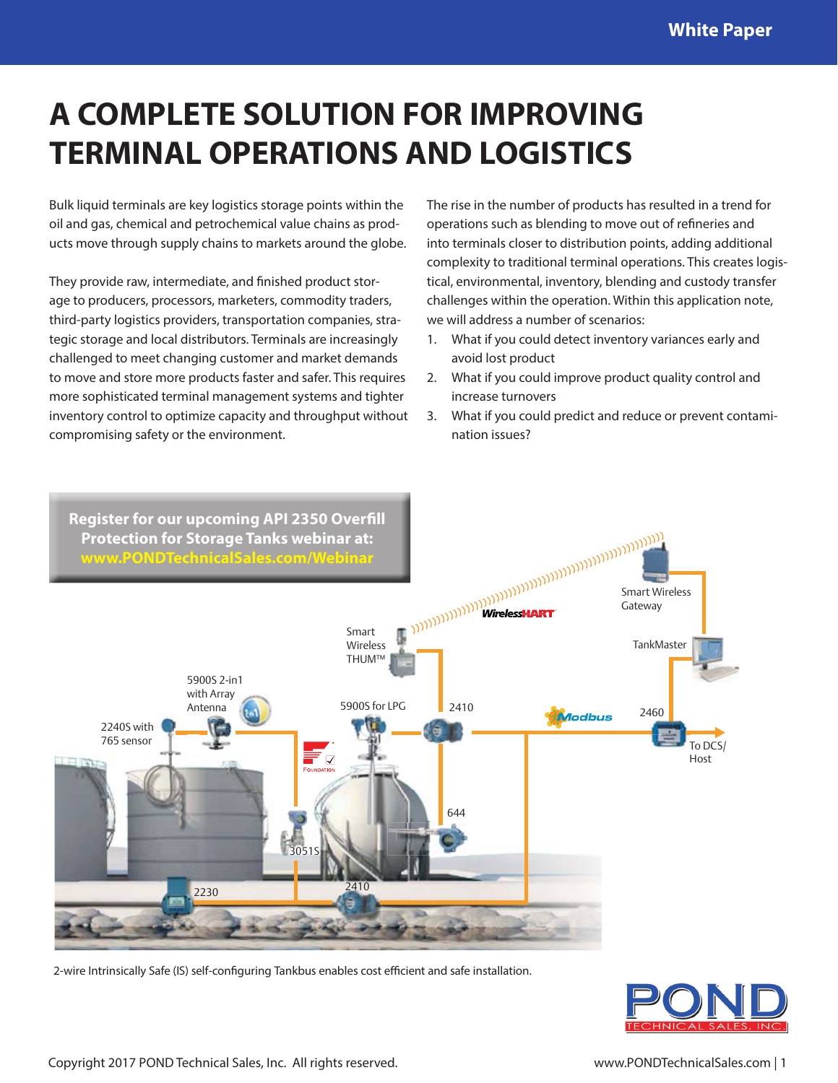## **A COMPLETE SOLUTION FOR IMPROVING TERMINAL OPERATIONS AND LOGISTICS**

Bulk liquid terminals are key logistics storage points within the oil and gas, chemical and petrochemical value chains as products move through supply chains to markets around the globe.

They provide raw, intermediate, and finished product storage to producers, processors, marketers, commodity traders, third-party logistics providers, transportation companies, strategic storage and local distributors. Terminals are increasingly challenged to meet changing customer and market demands to move and store more products faster and safer. This requires more sophisticated terminal management systems and tighter inventory control to optimize capacity and throughput without compromising safety or the environment.

The rise in the number of products has resulted in a trend for operations such as blending to move out of refineries and into terminals closer to distribution points, adding additional complexity to traditional terminal operations. This creates logistical, environmental, inventory, blending and custody transfer challenges within the operation. Within this application note, we will address a number of scenarios:

- 1. What if you could detect inventory variances early and avoid lost product
- 2. What if you could improve product quality control and increase turnovers
- 3. What if you could predict and reduce or prevent contamination issues?



2-wire Intrinsically Safe (IS) self-configuring Tankbus enables cost efficient and safe installation.

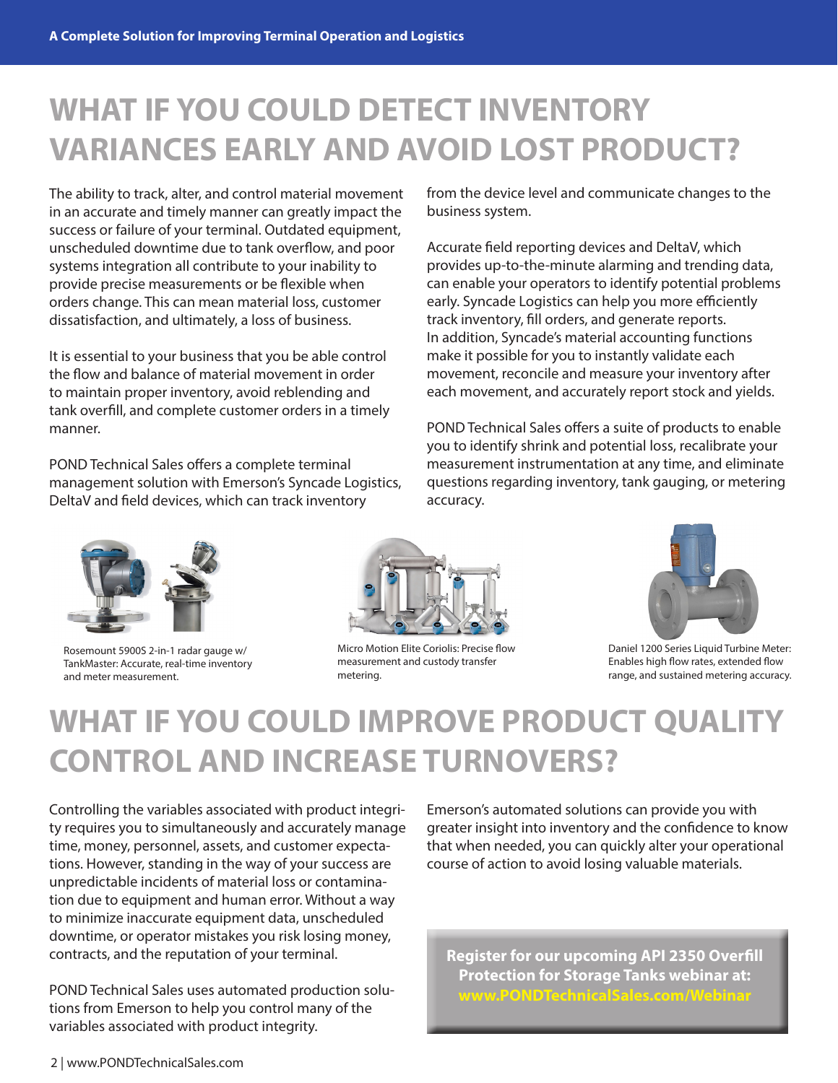### **WHAT IF YOU COULD DETECT INVENTORY VARIANCES EARLY AND AVOID LOST PRODUCT?**

The ability to track, alter, and control material movement in an accurate and timely manner can greatly impact the success or failure of your terminal. Outdated equipment, unscheduled downtime due to tank overflow, and poor systems integration all contribute to your inability to provide precise measurements or be flexible when orders change. This can mean material loss, customer dissatisfaction, and ultimately, a loss of business.

It is essential to your business that you be able control the flow and balance of material movement in order to maintain proper inventory, avoid reblending and tank overfill, and complete customer orders in a timely manner.

POND Technical Sales offers a complete terminal management solution with Emerson's Syncade Logistics, DeltaV and field devices, which can track inventory

from the device level and communicate changes to the business system.

Accurate field reporting devices and DeltaV, which provides up-to-the-minute alarming and trending data, can enable your operators to identify potential problems early. Syncade Logistics can help you more efficiently track inventory, fill orders, and generate reports. In addition, Syncade's material accounting functions make it possible for you to instantly validate each movement, reconcile and measure your inventory after each movement, and accurately report stock and yields.

POND Technical Sales offers a suite of products to enable you to identify shrink and potential loss, recalibrate your measurement instrumentation at any time, and eliminate questions regarding inventory, tank gauging, or metering accuracy.



Rosemount 5900S 2-in-1 radar gauge w/ TankMaster: Accurate, real-time inventory and meter measurement.



Micro Motion Elite Coriolis: Precise flow measurement and custody transfer metering.



Daniel 1200 Series Liquid Turbine Meter: Enables high flow rates, extended flow range, and sustained metering accuracy.

# **WHAT IF YOU COULD IMPROVE PRODUCT QUALITY CONTROL AND INCREASE TURNOVERS?**

Controlling the variables associated with product integrity requires you to simultaneously and accurately manage time, money, personnel, assets, and customer expectations. However, standing in the way of your success are unpredictable incidents of material loss or contamination due to equipment and human error. Without a way to minimize inaccurate equipment data, unscheduled downtime, or operator mistakes you risk losing money, contracts, and the reputation of your terminal.

POND Technical Sales uses automated production solutions from Emerson to help you control many of the variables associated with product integrity.

Emerson's automated solutions can provide you with greater insight into inventory and the confidence to know that when needed, you can quickly alter your operational course of action to avoid losing valuable materials.

**[Register for our upcoming API 2350 Overfill](https://attendee.gotowebinar.com/register/4711408804493846018?source=PDF+Flyer)  Protection for Storage Tanks webinar at: www.PONDTechnicalSales.com/Webinar**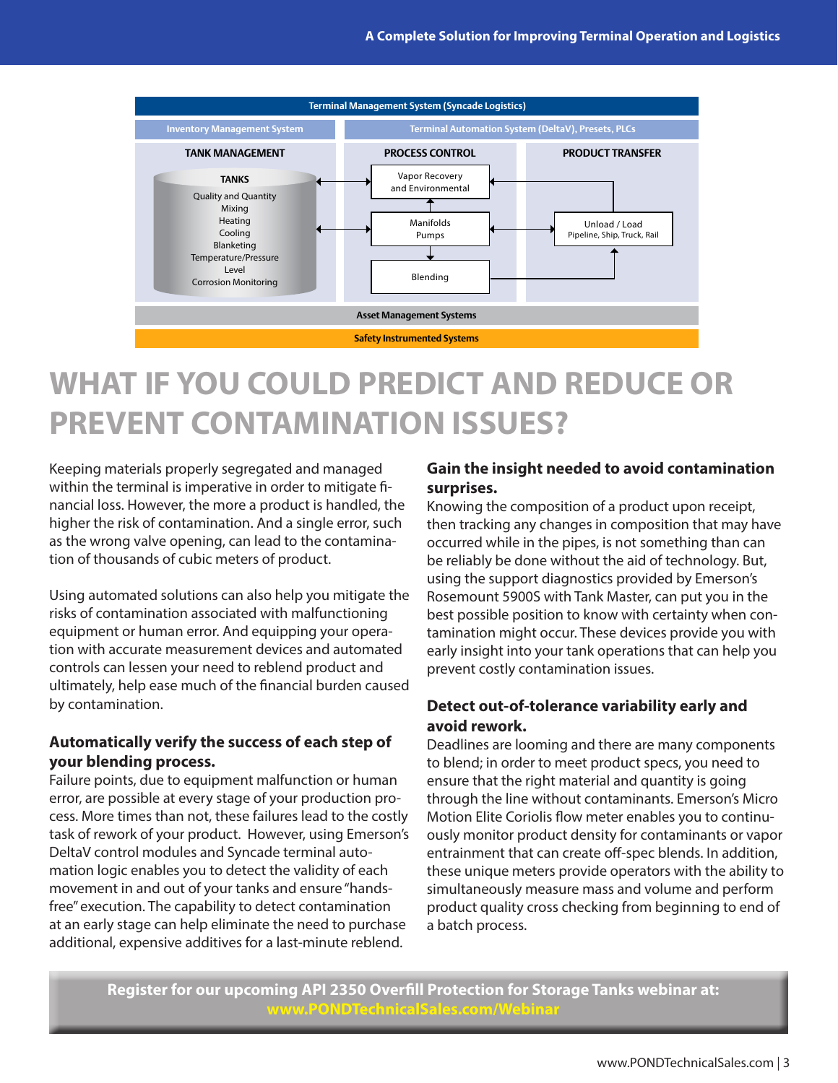

# **WHAT IF YOU COULD PREDICT AND REDUCE OR PREVENT CONTAMINATION ISSUES?**

Keeping materials properly segregated and managed within the terminal is imperative in order to mitigate financial loss. However, the more a product is handled, the higher the risk of contamination. And a single error, such as the wrong valve opening, can lead to the contamination of thousands of cubic meters of product.

Using automated solutions can also help you mitigate the risks of contamination associated with malfunctioning equipment or human error. And equipping your operation with accurate measurement devices and automated controls can lessen your need to reblend product and ultimately, help ease much of the financial burden caused by contamination.

#### **Automatically verify the success of each step of your blending process.**

Failure points, due to equipment malfunction or human error, are possible at every stage of your production process. More times than not, these failures lead to the costly task of rework of your product. However, using Emerson's DeltaV control modules and Syncade terminal automation logic enables you to detect the validity of each movement in and out of your tanks and ensure "handsfree" execution. The capability to detect contamination at an early stage can help eliminate the need to purchase additional, expensive additives for a last-minute reblend.

#### **Gain the insight needed to avoid contamination surprises.**

Knowing the composition of a product upon receipt, then tracking any changes in composition that may have occurred while in the pipes, is not something than can be reliably be done without the aid of technology. But, using the support diagnostics provided by Emerson's Rosemount 5900S with Tank Master, can put you in the best possible position to know with certainty when contamination might occur. These devices provide you with early insight into your tank operations that can help you prevent costly contamination issues.

#### **Detect out-of-tolerance variability early and avoid rework.**

Deadlines are looming and there are many components to blend; in order to meet product specs, you need to ensure that the right material and quantity is going through the line without contaminants. Emerson's Micro Motion Elite Coriolis flow meter enables you to continuously monitor product density for contaminants or vapor entrainment that can create off-spec blends. In addition, these unique meters provide operators with the ability to simultaneously measure mass and volume and perform product quality cross checking from beginning to end of a batch process.

**[Register for our upcoming API 2350 Overfill Protection for Storage Tanks webinar at:](https://attendee.gotowebinar.com/register/4711408804493846018?source=PDF+Flyer) PONDTechnicalSales.com/Web**